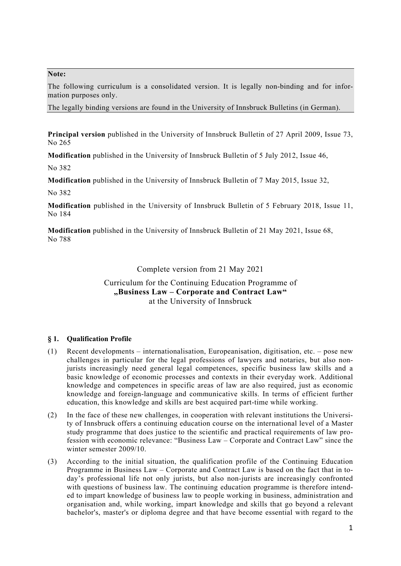### **Note:**

The following curriculum is a consolidated version. It is legally non-binding and for information purposes only.

The legally binding versions are found in the University of Innsbruck Bulletins (in German).

**Principal version** published in the University of Innsbruck Bulletin of 27 April 2009, Issue 73, No 265

**Modification** published in the University of Innsbruck Bulletin of 5 July 2012, Issue 46,

No 382

**Modification** published in the University of Innsbruck Bulletin of 7 May 2015, Issue 32,

No 382

**Modification** published in the University of Innsbruck Bulletin of 5 February 2018, Issue 11, No 184

**Modification** published in the University of Innsbruck Bulletin of 21 May 2021, Issue 68, No 788

Complete version from 21 May 2021

Curriculum for the Continuing Education Programme of **"Business Law – Corporate and Contract Law"**  at the University of Innsbruck

## **§ 1. Qualification Profile**

- (1) Recent developments internationalisation, Europeanisation, digitisation, etc. pose new challenges in particular for the legal professions of lawyers and notaries, but also nonjurists increasingly need general legal competences, specific business law skills and a basic knowledge of economic processes and contexts in their everyday work. Additional knowledge and competences in specific areas of law are also required, just as economic knowledge and foreign-language and communicative skills. In terms of efficient further education, this knowledge and skills are best acquired part-time while working.
- (2) In the face of these new challenges, in cooperation with relevant institutions the University of Innsbruck offers a continuing education course on the international level of a Master study programme that does justice to the scientific and practical requirements of law profession with economic relevance: "Business Law – Corporate and Contract Law" since the winter semester 2009/10.
- (3) According to the initial situation, the qualification profile of the Continuing Education Programme in Business Law – Corporate and Contract Law is based on the fact that in today's professional life not only jurists, but also non-jurists are increasingly confronted with questions of business law. The continuing education programme is therefore intended to impart knowledge of business law to people working in business, administration and organisation and, while working, impart knowledge and skills that go beyond a relevant bachelor's, master's or diploma degree and that have become essential with regard to the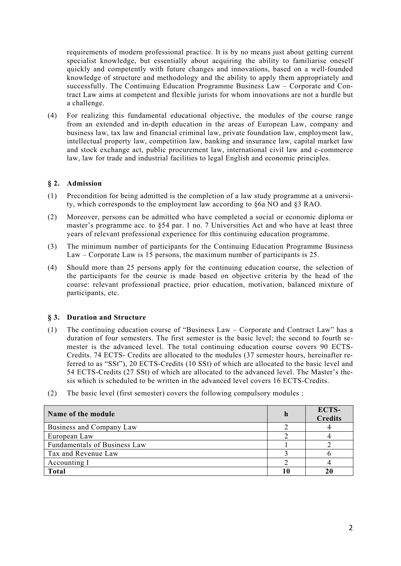requirements of modern professional practice. It is by no means just about getting current specialist knowledge, but essentially about acquiring the ability to familiarise oneself quickly and competently with future changes and innovations, based on a well-founded knowledge of structure and methodology and the ability to apply them appropriately and successfully. The Continuing Education Programme Business Law – Corporate and Contract Law aims at competent and flexible jurists for whom innovations are not a hurdle but a challenge.

(4) For realizing this fundamental educational objective, the modules of the course range from an extended and in-depth education in the areas of European Law, company and business law, tax law and financial criminal law, private foundation law, employment law, intellectual property law, competition law, banking and insurance law, capital market law and stock exchange act, public procurement law, international civil law and e-commerce law, law for trade and industrial facilities to legal English and economic principles.

## **§ 2. Admission**

- (1) Precondition for being admitted is the completion of a law study programme at a university, which corresponds to the employment law according to §6a NO and §3 RAO.
- (2) Moreover, persons can be admitted who have completed a social or economic diploma or master's programme acc. to §54 par. 1 no. 7 Universities Act and who have at least three years of relevant professional experience for this continuing education programme.
- (3) The minimum number of participants for the Continuing Education Programme Business Law – Corporate Law is 15 persons, the maximum number of participants is 25.
- (4) Should more than 25 persons apply for the continuing education course, the selection of the participants for the course is made based on objective criteria by the head of the course: relevant professional practice, prior education, motivation, balanced mixture of participants, etc.

#### **§ 3. Duration and Structure**

- (1) The continuing education course of "Business Law Corporate and Contract Law" has a duration of four semesters. The first semester is the basic level; the second to fourth semester is the advanced level. The total continuing education course covers 90 ECTS-Credits. 74 ECTS- Credits are allocated to the modules (37 semester hours, hereinafter referred to as "SSt"), 20 ECTS-Credits (10 SSt) of which are allocated to the basic level and 54 ECTS-Credits (27 SSt) of which are allocated to the advanced level. The Master's thesis which is scheduled to be written in the advanced level covers 16 ECTS-Credits.
- (2) The basic level (first semester) covers the following compulsory modules :

| Name of the module           | n | ECTS-<br><b>Credits</b> |
|------------------------------|---|-------------------------|
| Business and Company Law     |   |                         |
| European Law                 |   |                         |
| Fundamentals of Business Law |   |                         |
| Tax and Revenue Law          |   |                         |
| Accounting I                 |   |                         |
| Total                        |   |                         |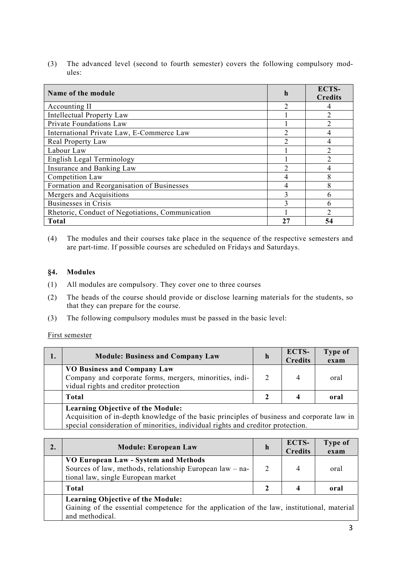(3) The advanced level (second to fourth semester) covers the following compulsory modules:

| Name of the module                               | h                           | ECTS-<br><b>Credits</b> |
|--------------------------------------------------|-----------------------------|-------------------------|
| Accounting II                                    |                             |                         |
| <b>Intellectual Property Law</b>                 |                             |                         |
| Private Foundations Law                          |                             | $\mathcal{D}$           |
| International Private Law, E-Commerce Law        |                             |                         |
| Real Property Law                                | $\mathcal{D}_{\mathcal{A}}$ |                         |
| Labour Law                                       |                             |                         |
| English Legal Terminology                        |                             |                         |
| Insurance and Banking Law                        | $\mathcal{D}$               |                         |
| Competition Law                                  | 4                           |                         |
| Formation and Reorganisation of Businesses       | 4                           |                         |
| Mergers and Acquisitions                         | 3                           |                         |
| <b>Businesses in Crisis</b>                      | $\mathbf 3$                 |                         |
| Rhetoric, Conduct of Negotiations, Communication |                             |                         |
| <b>Total</b>                                     | 27                          | 54                      |

(4) The modules and their courses take place in the sequence of the respective semesters and are part-time. If possible courses are scheduled on Fridays and Saturdays.

### **§4. Modules**

- (1) All modules are compulsory. They cover one to three courses
- (2) The heads of the course should provide or disclose learning materials for the students, so that they can prepare for the course.
- (3) The following compulsory modules must be passed in the basic level:

First semester

| <b>Module: Business and Company Law</b>                                                                                                                                                                                   | n | ECTS-<br><b>Credits</b> | Type of<br>exam |
|---------------------------------------------------------------------------------------------------------------------------------------------------------------------------------------------------------------------------|---|-------------------------|-----------------|
| <b>VO Business and Company Law</b><br>Company and corporate forms, mergers, minorities, indi-<br>vidual rights and creditor protection                                                                                    |   | 4                       | oral            |
| Total                                                                                                                                                                                                                     |   |                         | oral            |
| <b>Learning Objective of the Module:</b><br>Acquisition of in-depth knowledge of the basic principles of business and corporate law in<br>special consideration of minorities, individual rights and creditor protection. |   |                         |                 |

| 2. | <b>Module: European Law</b>                                                                                                                                | h | ECTS-<br><b>Credits</b> | Type of<br>exam |
|----|------------------------------------------------------------------------------------------------------------------------------------------------------------|---|-------------------------|-----------------|
|    | VO European Law - System and Methods<br>Sources of law, methods, relationship European law - na-<br>tional law, single European market                     |   | 4                       | oral            |
|    | <b>Total</b>                                                                                                                                               |   |                         | oral            |
|    | <b>Learning Objective of the Module:</b><br>Gaining of the essential competence for the application of the law, institutional, material<br>and methodical. |   |                         |                 |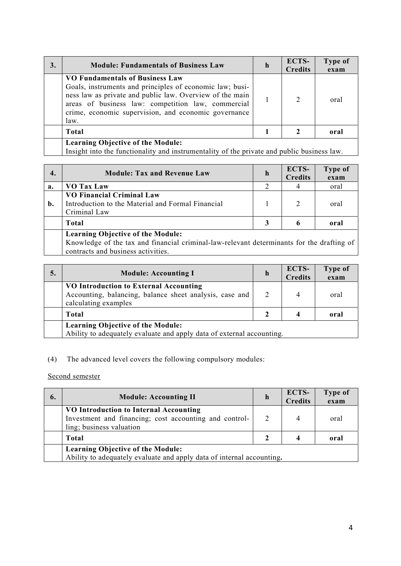| <b>Module: Fundamentals of Business Law</b>                                                                                                                                                                                                                                          | n | ECTS-<br><b>Credits</b> | Type of<br>exam |
|--------------------------------------------------------------------------------------------------------------------------------------------------------------------------------------------------------------------------------------------------------------------------------------|---|-------------------------|-----------------|
| <b>VO Fundamentals of Business Law</b><br>Goals, instruments and principles of economic law; busi-<br>ness law as private and public law. Overview of the main<br>areas of business law: competition law, commercial<br>crime, economic supervision, and economic governance<br>law. |   | $\overline{2}$          | oral            |
| <b>Total</b>                                                                                                                                                                                                                                                                         |   |                         | oral            |

### **Learning Objective of the Module:**

Insight into the functionality and instrumentality of the private and public business law.

| 4.                                                                                                                                                                          | <b>Module: Tax and Revenue Law</b>                                                                    | $\mathbf h$ | ECTS-<br><b>Credits</b> | Type of<br>exam |
|-----------------------------------------------------------------------------------------------------------------------------------------------------------------------------|-------------------------------------------------------------------------------------------------------|-------------|-------------------------|-----------------|
| a.                                                                                                                                                                          | VO Tax Law                                                                                            |             |                         | oral            |
| b.                                                                                                                                                                          | <b>VO Financial Criminal Law</b><br>Introduction to the Material and Formal Financial<br>Criminal Law |             | $\overline{2}$          | oral            |
|                                                                                                                                                                             | Total                                                                                                 |             | 6                       | oral            |
| <b>Learning Objective of the Module:</b><br>Knowledge of the tax and financial criminal-law-relevant determinants for the drafting of<br>contracts and business activities. |                                                                                                       |             |                         |                 |

| 5. | <b>Module: Accounting I</b>                                                                                               | h | ECTS-<br><b>Credits</b> | Type of<br>exam |  |
|----|---------------------------------------------------------------------------------------------------------------------------|---|-------------------------|-----------------|--|
|    | VO Introduction to External Accounting<br>Accounting, balancing, balance sheet analysis, case and<br>calculating examples |   |                         | oral            |  |
|    | Total                                                                                                                     |   |                         | oral            |  |
|    | <b>Learning Objective of the Module:</b><br>Ability to adequately evaluate and apply data of external accounting.         |   |                         |                 |  |

# (4) The advanced level covers the following compulsory modules:

Second semester

| 6. | <b>Module: Accounting II</b>                                                                                                 | h | ECTS-<br><b>Credits</b> | Type of<br>exam |  |
|----|------------------------------------------------------------------------------------------------------------------------------|---|-------------------------|-----------------|--|
|    | VO Introduction to Internal Accounting<br>Investment and financing; cost accounting and control-<br>ling; business valuation |   |                         | oral            |  |
|    | <b>Total</b>                                                                                                                 |   |                         | oral            |  |
|    | <b>Learning Objective of the Module:</b><br>Ability to adequately evaluate and apply data of internal accounting.            |   |                         |                 |  |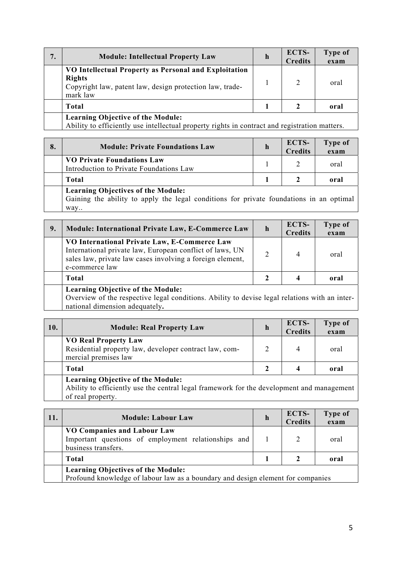| 7. | <b>Module: Intellectual Property Law</b>                                                                                                       | $\mathbf h$ | ECTS-<br><b>Credits</b> | Type of<br>exam |
|----|------------------------------------------------------------------------------------------------------------------------------------------------|-------------|-------------------------|-----------------|
|    | VO Intellectual Property as Personal and Exploitation<br><b>Rights</b><br>Copyright law, patent law, design protection law, trade-<br>mark law |             | 2                       | oral            |
|    | Total                                                                                                                                          |             |                         | oral            |
|    | <b>Learning Objective of the Module:</b><br>Ability to efficiently use intellectual property rights in contract and registration matters.      |             |                         |                 |

| 8. | <b>Module: Private Foundations Law</b>                                                                                               | h | <b>ECTS-</b><br><b>Credits</b> | Type of<br>exam |  |
|----|--------------------------------------------------------------------------------------------------------------------------------------|---|--------------------------------|-----------------|--|
|    | <b>VO Private Foundations Law</b><br>Introduction to Private Foundations Law                                                         |   |                                | oral            |  |
|    | <b>Total</b>                                                                                                                         |   |                                | oral            |  |
|    | <b>Learning Objectives of the Module:</b><br>Gaining the ability to apply the legal conditions for private foundations in an optimal |   |                                |                 |  |

ty to apply the legal conditions for private foundations in an op all valually valually values.

| 9. | Module: International Private Law, E-Commerce Law                                                                                                                                       | $\mathbf h$   | ECTS-<br><b>Credits</b> | Type of<br>exam |  |
|----|-----------------------------------------------------------------------------------------------------------------------------------------------------------------------------------------|---------------|-------------------------|-----------------|--|
|    | VO International Private Law, E-Commerce Law<br>International private law, European conflict of laws, UN<br>sales law, private law cases involving a foreign element,<br>e-commerce law | $\mathcal{D}$ | 4                       | oral            |  |
|    | Total                                                                                                                                                                                   |               |                         | oral            |  |
|    | <b>Learning Objective of the Module:</b><br>Overview of the respective legal conditions. Ability to devise legal relations with an inter-<br>national dimension adequately.             |               |                         |                 |  |

| 10. | <b>Module: Real Property Law</b>                                                                              | h | <b>ECTS-</b><br><b>Credits</b> | Type of<br>exam |
|-----|---------------------------------------------------------------------------------------------------------------|---|--------------------------------|-----------------|
|     | <b>VO Real Property Law</b><br>Residential property law, developer contract law, com-<br>mercial premises law |   | 4                              | oral            |
|     | <b>Total</b>                                                                                                  |   |                                | oral            |
|     | <b>Learning Objective of the Module:</b>                                                                      |   |                                |                 |

Ability to efficiently use the central legal framework for the development and management of real property.

| 11. | <b>Module: Labour Law</b>                                                                                                    | n | <b>ECTS-</b><br><b>Credits</b> | Type of<br>exam |  |  |
|-----|------------------------------------------------------------------------------------------------------------------------------|---|--------------------------------|-----------------|--|--|
|     | VO Companies and Labour Law<br>Important questions of employment relationships and<br>business transfers.                    |   |                                | oral            |  |  |
|     | <b>Total</b>                                                                                                                 |   |                                | oral            |  |  |
|     | <b>Learning Objectives of the Module:</b><br>Profound knowledge of labour law as a boundary and design element for companies |   |                                |                 |  |  |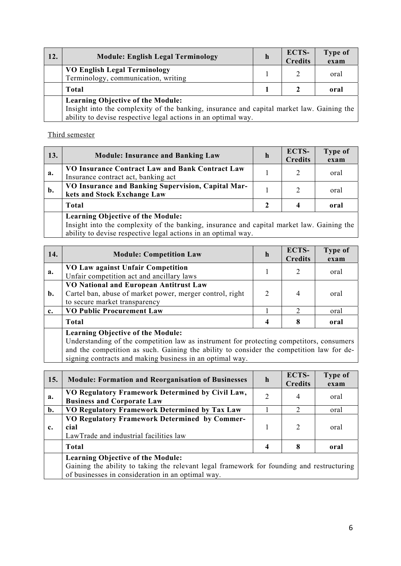| 12. | <b>Module: English Legal Terminology</b>                                                                                                                                                               | h | ECTS-<br><b>Credits</b> | Type of<br>exam |  |
|-----|--------------------------------------------------------------------------------------------------------------------------------------------------------------------------------------------------------|---|-------------------------|-----------------|--|
|     | <b>VO English Legal Terminology</b><br>Terminology, communication, writing                                                                                                                             |   |                         | oral            |  |
|     | Total                                                                                                                                                                                                  |   |                         | oral            |  |
|     | <b>Learning Objective of the Module:</b><br>Insight into the complexity of the banking, insurance and capital market law. Gaining the<br>ability to devise respective legal actions in an optimal way. |   |                         |                 |  |

## Third semester

| 13. | <b>Module: Insurance and Banking Law</b>                                                                                                                                                               | h | <b>ECTS-</b><br><b>Credits</b> | Type of<br>exam |
|-----|--------------------------------------------------------------------------------------------------------------------------------------------------------------------------------------------------------|---|--------------------------------|-----------------|
| a.  | VO Insurance Contract Law and Bank Contract Law<br>Insurance contract act, banking act                                                                                                                 |   | 2                              | oral            |
| b.  | VO Insurance and Banking Supervision, Capital Mar-<br>kets and Stock Exchange Law                                                                                                                      |   |                                | oral            |
|     | <b>Total</b>                                                                                                                                                                                           |   |                                | oral            |
|     | <b>Learning Objective of the Module:</b><br>Insight into the complexity of the banking, insurance and capital market law. Gaining the<br>ability to devise respective legal actions in an optimal way. |   |                                |                 |

| 14. | <b>Module: Competition Law</b>                                                                                                      | h | ECTS-<br><b>Credits</b> | Type of<br>exam |
|-----|-------------------------------------------------------------------------------------------------------------------------------------|---|-------------------------|-----------------|
| a.  | VO Law against Unfair Competition<br>Unfair competition act and ancillary laws                                                      |   |                         | oral            |
| b.  | VO National and European Antitrust Law<br>Cartel ban, abuse of market power, merger control, right<br>to secure market transparency | 2 |                         | oral            |
| c.  | <b>VO Public Procurement Law</b>                                                                                                    |   | 2                       | oral            |
|     | Total                                                                                                                               | 4 | 8                       | oral            |
|     | Learning Objective of the Module:                                                                                                   |   |                         |                 |

## **Learning Objective of the Module:**

Understanding of the competition law as instrument for protecting competitors, consumers and the competition as such. Gaining the ability to consider the competition law for designing contracts and making business in an optimal way.

| 15.            | <b>Module: Formation and Reorganisation of Businesses</b>                                                                                                                                  | $\mathbf h$ | ECTS-<br><b>Credits</b> | Type of<br>exam |
|----------------|--------------------------------------------------------------------------------------------------------------------------------------------------------------------------------------------|-------------|-------------------------|-----------------|
| a.             | VO Regulatory Framework Determined by Civil Law,<br><b>Business and Corporate Law</b>                                                                                                      | 2           | 4                       | oral            |
| $\mathbf{b}$ . | VO Regulatory Framework Determined by Tax Law                                                                                                                                              |             | 2                       | oral            |
| c.             | VO Regulatory Framework Determined by Commer-<br>cial<br>LawTrade and industrial facilities law                                                                                            |             | $\overline{2}$          | oral            |
|                | <b>Total</b>                                                                                                                                                                               | 4           | 8                       | oral            |
|                | <b>Learning Objective of the Module:</b><br>Gaining the ability to taking the relevant legal framework for founding and restructuring<br>of businesses in consideration in an optimal way. |             |                         |                 |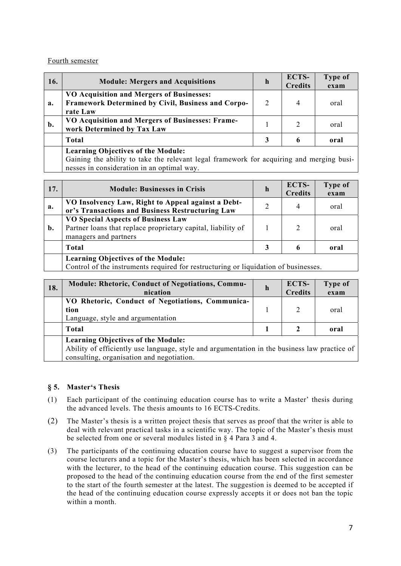### Fourth semester

| 16. | <b>Module: Mergers and Acquisitions</b>                                                                                                                                             | h | ECTS-<br><b>Credits</b> | Type of<br>exam |  |
|-----|-------------------------------------------------------------------------------------------------------------------------------------------------------------------------------------|---|-------------------------|-----------------|--|
| a.  | VO Acquisition and Mergers of Businesses:<br>Framework Determined by Civil, Business and Corpo-<br>rate Law                                                                         | 2 | 4                       | oral            |  |
| b.  | VO Acquisition and Mergers of Businesses: Frame-<br>work Determined by Tax Law                                                                                                      |   | $\overline{2}$          | oral            |  |
|     | <b>Total</b>                                                                                                                                                                        |   | 6                       | oral            |  |
|     | <b>Learning Objectives of the Module:</b><br>Gaining the ability to take the relevant legal framework for acquiring and merging busi-<br>nesses in consideration in an optimal way. |   |                         |                 |  |

| 17. | <b>Module: Businesses in Crisis</b>                                                                                                | h | ECTS-<br><b>Credits</b> | Type of<br>exam |
|-----|------------------------------------------------------------------------------------------------------------------------------------|---|-------------------------|-----------------|
| a.  | VO Insolvency Law, Right to Appeal against a Debt-<br>or's Transactions and Business Restructuring Law                             | 2 | 4                       | oral            |
| b.  | <b>VO Special Aspects of Business Law</b><br>Partner loans that replace proprietary capital, liability of<br>managers and partners |   | 2                       | oral            |
|     | Total                                                                                                                              |   | 6                       | oral            |
|     | <b>Learning Objectives of the Module:</b><br>Control of the instruments required for restructuring or liquidation of businesses.   |   |                         |                 |

| 18. | <b>Module: Rhetoric, Conduct of Negotiations, Commu-</b><br>nication                                                                                                                   | $\mathbf n$ | ECTS-<br><b>Credits</b> | Type of<br>exam |  |
|-----|----------------------------------------------------------------------------------------------------------------------------------------------------------------------------------------|-------------|-------------------------|-----------------|--|
|     | VO Rhetoric, Conduct of Negotiations, Communica-<br>tion<br>Language, style and argumentation                                                                                          |             | 2                       | oral            |  |
|     | <b>Total</b>                                                                                                                                                                           |             |                         | oral            |  |
|     | <b>Learning Objectives of the Module:</b><br>Ability of efficiently use language, style and argumentation in the business law practice of<br>consulting, organisation and negotiation. |             |                         |                 |  |

## **§ 5. Master's Thesis**

- (1) Each participant of the continuing education course has to write a Master' thesis during the advanced levels. The thesis amounts to 16 ECTS-Credits.
- (2) The Master's thesis is a written project thesis that serves as proof that the writer is able to deal with relevant practical tasks in a scientific way. The topic of the Master's thesis must be selected from one or several modules listed in § 4 Para 3 and 4.
- (3) The participants of the continuing education course have to suggest a supervisor from the course lecturers and a topic for the Master's thesis, which has been selected in accordance with the lecturer, to the head of the continuing education course. This suggestion can be proposed to the head of the continuing education course from the end of the first semester to the start of the fourth semester at the latest. The suggestion is deemed to be accepted if the head of the continuing education course expressly accepts it or does not ban the topic within a month.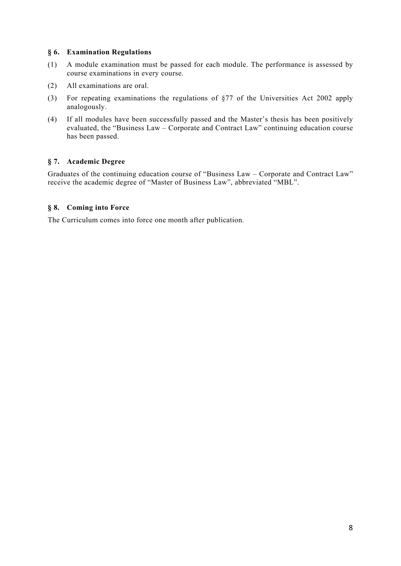## **§ 6. Examination Regulations**

- (1) A module examination must be passed for each module. The performance is assessed by course examinations in every course.
- (2) All examinations are oral.
- (3) For repeating examinations the regulations of §77 of the Universities Act 2002 apply analogously.
- (4) If all modules have been successfully passed and the Master's thesis has been positively evaluated, the "Business Law – Corporate and Contract Law" continuing education course has been passed.

## **§ 7. Academic Degree**

Graduates of the continuing education course of "Business Law – Corporate and Contract Law" receive the academic degree of "Master of Business Law", abbreviated "MBL".

## **§ 8. Coming into Force**

The Curriculum comes into force one month after publication.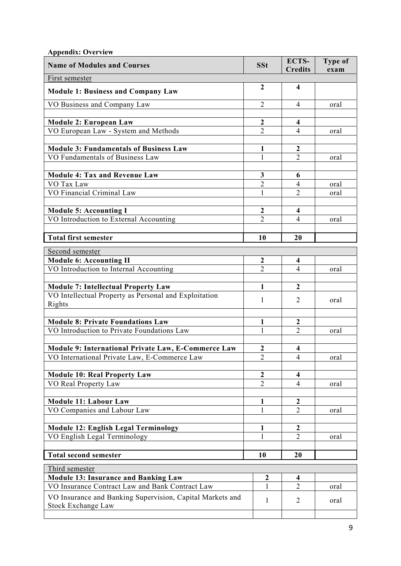| <b>Appendix: Overview</b>                                                                      |                                  |                                  |                 |
|------------------------------------------------------------------------------------------------|----------------------------------|----------------------------------|-----------------|
| <b>Name of Modules and Courses</b>                                                             | <b>SSt</b>                       | ECTS-<br><b>Credits</b>          | Type of<br>exam |
| First semester                                                                                 |                                  |                                  |                 |
| <b>Module 1: Business and Company Law</b>                                                      | $\overline{2}$                   | $\overline{\mathbf{4}}$          |                 |
| VO Business and Company Law                                                                    | $\overline{2}$                   | 4                                | oral            |
| <b>Module 2: European Law</b>                                                                  | $\boldsymbol{2}$                 | 4                                |                 |
| VO European Law - System and Methods                                                           | $\overline{2}$                   | $\overline{4}$                   | oral            |
|                                                                                                |                                  |                                  |                 |
| <b>Module 3: Fundamentals of Business Law</b>                                                  | 1                                | $\boldsymbol{2}$                 |                 |
| VO Fundamentals of Business Law                                                                | 1                                | $\overline{2}$                   | oral            |
| <b>Module 4: Tax and Revenue Law</b>                                                           | 3                                | 6                                |                 |
| VO Tax Law                                                                                     | $\overline{2}$                   | 4                                | oral            |
| VO Financial Criminal Law                                                                      | 1                                | $\overline{2}$                   | oral            |
|                                                                                                |                                  |                                  |                 |
| <b>Module 5: Accounting I</b>                                                                  | $\mathbf{2}$                     | 4                                |                 |
| VO Introduction to External Accounting                                                         | $\overline{2}$                   | 4                                | oral            |
|                                                                                                |                                  |                                  |                 |
| <b>Total first semester</b>                                                                    | 10                               | 20                               |                 |
| Second semester                                                                                |                                  |                                  |                 |
| <b>Module 6: Accounting II</b>                                                                 | $\overline{2}$<br>$\overline{2}$ | $\overline{\mathbf{4}}$          |                 |
| VO Introduction to Internal Accounting                                                         |                                  | 4                                | oral            |
| <b>Module 7: Intellectual Property Law</b>                                                     | 1                                | $\boldsymbol{2}$                 |                 |
| VO Intellectual Property as Personal and Exploitation                                          | 1                                | 2                                |                 |
| Rights                                                                                         |                                  |                                  | oral            |
|                                                                                                |                                  |                                  |                 |
| <b>Module 8: Private Foundations Law</b><br>VO Introduction to Private Foundations Law         | $\mathbf{1}$<br>$\mathbf{1}$     | $\overline{2}$<br>$\overline{2}$ | oral            |
|                                                                                                |                                  |                                  |                 |
| Module 9: International Private Law, E-Commerce Law                                            | $\boldsymbol{2}$                 | 4                                |                 |
| VO International Private Law, E-Commerce Law                                                   | $\overline{2}$                   | $\overline{4}$                   | oral            |
|                                                                                                |                                  |                                  |                 |
| <b>Module 10: Real Property Law</b>                                                            | $\mathbf{2}$                     | $\overline{\mathbf{4}}$          |                 |
| VO Real Property Law                                                                           | $\overline{2}$                   | 4                                | oral            |
| <b>Module 11: Labour Law</b>                                                                   | $\mathbf{1}$                     | $\boldsymbol{2}$                 |                 |
| VO Companies and Labour Law                                                                    | 1                                | $\overline{2}$                   | oral            |
|                                                                                                |                                  |                                  |                 |
| <b>Module 12: English Legal Terminology</b>                                                    | 1                                | $\boldsymbol{2}$                 |                 |
| VO English Legal Terminology                                                                   | 1                                | 2                                | oral            |
| <b>Total second semester</b>                                                                   | 10                               | 20                               |                 |
|                                                                                                |                                  |                                  |                 |
| Third semester                                                                                 |                                  |                                  |                 |
| <b>Module 13: Insurance and Banking Law</b><br>VO Insurance Contract Law and Bank Contract Law | $\boldsymbol{2}$<br>1            | 4<br>$\overline{2}$              |                 |
|                                                                                                |                                  |                                  | oral            |
| VO Insurance and Banking Supervision, Capital Markets and<br>Stock Exchange Law                | $\mathbf{1}$                     | 2                                | oral            |
|                                                                                                |                                  |                                  |                 |